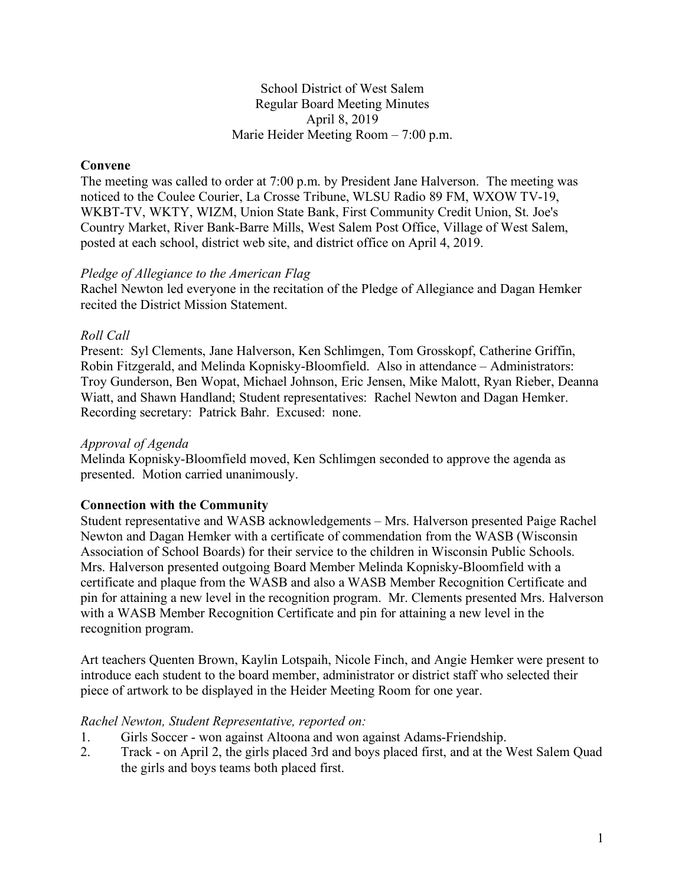# School District of West Salem Regular Board Meeting Minutes April 8, 2019 Marie Heider Meeting Room – 7:00 p.m.

# **Convene**

The meeting was called to order at 7:00 p.m. by President Jane Halverson. The meeting was noticed to the Coulee Courier, La Crosse Tribune, WLSU Radio 89 FM, WXOW TV-19, WKBT-TV, WKTY, WIZM, Union State Bank, First Community Credit Union, St. Joe's Country Market, River Bank-Barre Mills, West Salem Post Office, Village of West Salem, posted at each school, district web site, and district office on April 4, 2019.

#### *Pledge of Allegiance to the American Flag*

Rachel Newton led everyone in the recitation of the Pledge of Allegiance and Dagan Hemker recited the District Mission Statement.

### *Roll Call*

Present: Syl Clements, Jane Halverson, Ken Schlimgen, Tom Grosskopf, Catherine Griffin, Robin Fitzgerald, and Melinda Kopnisky-Bloomfield. Also in attendance – Administrators: Troy Gunderson, Ben Wopat, Michael Johnson, Eric Jensen, Mike Malott, Ryan Rieber, Deanna Wiatt, and Shawn Handland; Student representatives: Rachel Newton and Dagan Hemker. Recording secretary: Patrick Bahr. Excused: none.

#### *Approval of Agenda*

Melinda Kopnisky-Bloomfield moved, Ken Schlimgen seconded to approve the agenda as presented. Motion carried unanimously.

### **Connection with the Community**

Student representative and WASB acknowledgements – Mrs. Halverson presented Paige Rachel Newton and Dagan Hemker with a certificate of commendation from the WASB (Wisconsin Association of School Boards) for their service to the children in Wisconsin Public Schools. Mrs. Halverson presented outgoing Board Member Melinda Kopnisky-Bloomfield with a certificate and plaque from the WASB and also a WASB Member Recognition Certificate and pin for attaining a new level in the recognition program. Mr. Clements presented Mrs. Halverson with a WASB Member Recognition Certificate and pin for attaining a new level in the recognition program.

Art teachers Quenten Brown, Kaylin Lotspaih, Nicole Finch, and Angie Hemker were present to introduce each student to the board member, administrator or district staff who selected their piece of artwork to be displayed in the Heider Meeting Room for one year.

#### *Rachel Newton, Student Representative, reported on:*

- 1. Girls Soccer won against Altoona and won against Adams-Friendship.
- 2. Track on April 2, the girls placed 3rd and boys placed first, and at the West Salem Quad the girls and boys teams both placed first.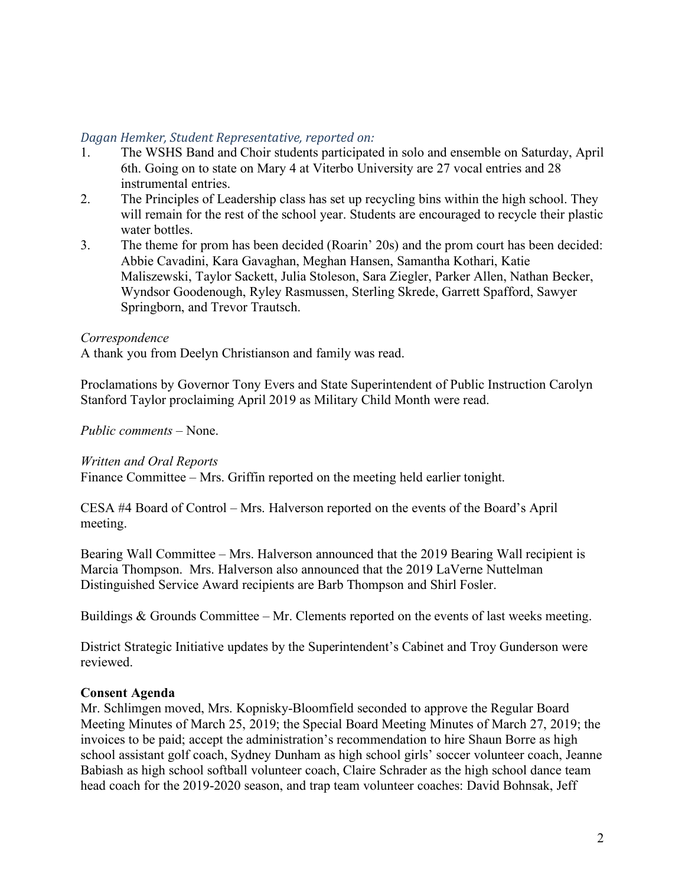# *Dagan Hemker, Student Representative, reported on:*

- 1. The WSHS Band and Choir students participated in solo and ensemble on Saturday, April 6th. Going on to state on Mary 4 at Viterbo University are 27 vocal entries and 28 instrumental entries.
- 2. The Principles of Leadership class has set up recycling bins within the high school. They will remain for the rest of the school year. Students are encouraged to recycle their plastic water bottles.
- 3. The theme for prom has been decided (Roarin' 20s) and the prom court has been decided: Abbie Cavadini, Kara Gavaghan, Meghan Hansen, Samantha Kothari, Katie Maliszewski, Taylor Sackett, Julia Stoleson, Sara Ziegler, Parker Allen, Nathan Becker, Wyndsor Goodenough, Ryley Rasmussen, Sterling Skrede, Garrett Spafford, Sawyer Springborn, and Trevor Trautsch.

### *Correspondence*

A thank you from Deelyn Christianson and family was read.

Proclamations by Governor Tony Evers and State Superintendent of Public Instruction Carolyn Stanford Taylor proclaiming April 2019 as Military Child Month were read.

# *Public comments –* None.

### *Written and Oral Reports*

Finance Committee – Mrs. Griffin reported on the meeting held earlier tonight.

CESA #4 Board of Control – Mrs. Halverson reported on the events of the Board's April meeting.

Bearing Wall Committee – Mrs. Halverson announced that the 2019 Bearing Wall recipient is Marcia Thompson. Mrs. Halverson also announced that the 2019 LaVerne Nuttelman Distinguished Service Award recipients are Barb Thompson and Shirl Fosler.

Buildings & Grounds Committee – Mr. Clements reported on the events of last weeks meeting.

District Strategic Initiative updates by the Superintendent's Cabinet and Troy Gunderson were reviewed.

# **Consent Agenda**

Mr. Schlimgen moved, Mrs. Kopnisky-Bloomfield seconded to approve the Regular Board Meeting Minutes of March 25, 2019; the Special Board Meeting Minutes of March 27, 2019; the invoices to be paid; accept the administration's recommendation to hire Shaun Borre as high school assistant golf coach, Sydney Dunham as high school girls' soccer volunteer coach, Jeanne Babiash as high school softball volunteer coach, Claire Schrader as the high school dance team head coach for the 2019-2020 season, and trap team volunteer coaches: David Bohnsak, Jeff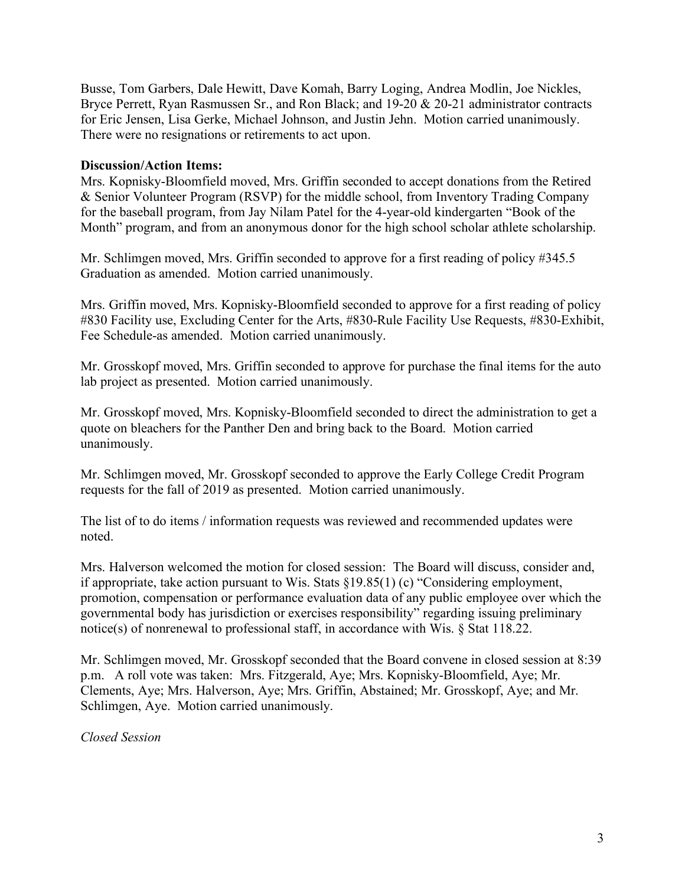Busse, Tom Garbers, Dale Hewitt, Dave Komah, Barry Loging, Andrea Modlin, Joe Nickles, Bryce Perrett, Ryan Rasmussen Sr., and Ron Black; and 19-20 & 20-21 administrator contracts for Eric Jensen, Lisa Gerke, Michael Johnson, and Justin Jehn. Motion carried unanimously. There were no resignations or retirements to act upon.

# **Discussion/Action Items:**

Mrs. Kopnisky-Bloomfield moved, Mrs. Griffin seconded to accept donations from the Retired & Senior Volunteer Program (RSVP) for the middle school, from Inventory Trading Company for the baseball program, from Jay Nilam Patel for the 4-year-old kindergarten "Book of the Month" program, and from an anonymous donor for the high school scholar athlete scholarship.

Mr. Schlimgen moved, Mrs. Griffin seconded to approve for a first reading of policy #345.5 Graduation as amended. Motion carried unanimously.

Mrs. Griffin moved, Mrs. Kopnisky-Bloomfield seconded to approve for a first reading of policy #830 Facility use, Excluding Center for the Arts, #830-Rule Facility Use Requests, #830-Exhibit, Fee Schedule-as amended. Motion carried unanimously.

Mr. Grosskopf moved, Mrs. Griffin seconded to approve for purchase the final items for the auto lab project as presented. Motion carried unanimously.

Mr. Grosskopf moved, Mrs. Kopnisky-Bloomfield seconded to direct the administration to get a quote on bleachers for the Panther Den and bring back to the Board. Motion carried unanimously.

Mr. Schlimgen moved, Mr. Grosskopf seconded to approve the Early College Credit Program requests for the fall of 2019 as presented. Motion carried unanimously.

The list of to do items / information requests was reviewed and recommended updates were noted.

Mrs. Halverson welcomed the motion for closed session: The Board will discuss, consider and, if appropriate, take action pursuant to Wis. Stats §19.85(1) (c) "Considering employment, promotion, compensation or performance evaluation data of any public employee over which the governmental body has jurisdiction or exercises responsibility" regarding issuing preliminary notice(s) of nonrenewal to professional staff, in accordance with Wis. § Stat 118.22.

Mr. Schlimgen moved, Mr. Grosskopf seconded that the Board convene in closed session at 8:39 p.m. A roll vote was taken: Mrs. Fitzgerald, Aye; Mrs. Kopnisky-Bloomfield, Aye; Mr. Clements, Aye; Mrs. Halverson, Aye; Mrs. Griffin, Abstained; Mr. Grosskopf, Aye; and Mr. Schlimgen, Aye. Motion carried unanimously.

*Closed Session*